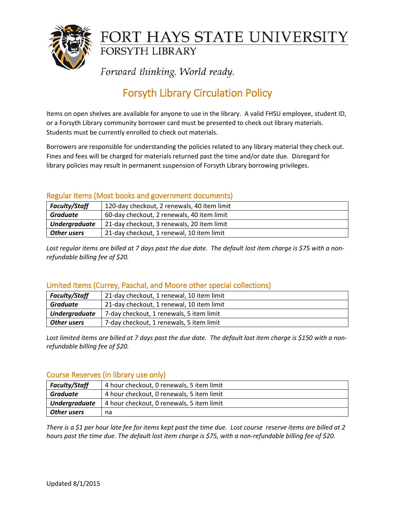

# FORT HAYS STATE UNIVERSITY **FORSYTH LIBRARY**

Forward thinking. World ready.

## Forsyth Library Circulation Policy

Items on open shelves are available for anyone to use in the library. A valid FHSU employee, student ID, or a Forsyth Library community borrower card must be presented to check out library materials. Students must be currently enrolled to check out materials.

Borrowers are responsible for understanding the policies related to any library material they check out. Fines and fees will be charged for materials returned past the time and/or date due. Disregard for library policies may result in permanent suspension of Forsyth Library borrowing privileges.

### Regular Items (Most books and government documents)

| <b>Faculty/Staff</b> | 120-day checkout, 2 renewals, 40 item limit |
|----------------------|---------------------------------------------|
| <b>Graduate</b>      | 60-day checkout, 2 renewals, 40 item limit  |
| <b>Undergraduate</b> | 21-day checkout, 3 renewals, 20 item limit  |
| Other users          | 21-day checkout, 1 renewal, 10 item limit   |

*Lost regular items are billed at 7 days past the due date. The default lost item charge is \$75 with a nonrefundable billing fee of \$20.*

### Limited Items (Currey, Paschal, and Moore other special collections)

| <b>Faculty/Staff</b> | 21-day checkout, 1 renewal, 10 item limit |
|----------------------|-------------------------------------------|
| <b>Graduate</b>      | 21-day checkout, 1 renewal, 10 item limit |
| <b>Undergraduate</b> | 7-day checkout, 1 renewals, 5 item limit  |
| Other users          | 7-day checkout, 1 renewals, 5 item limit  |

*Lost limited items are billed at 7 days past the due date. The default lost item charge is \$150 with a nonrefundable billing fee of \$20.*

### Course Reserves (in library use only)

| <b>Faculty/Staff</b> | 4 hour checkout, 0 renewals, 5 item limit |
|----------------------|-------------------------------------------|
| Graduate             | 4 hour checkout, 0 renewals, 5 item limit |
| <b>Undergraduate</b> | 4 hour checkout, 0 renewals, 5 item limit |
| Other users          | na                                        |

*There is a \$1 per hour late fee for items kept past the time due. Lost course reserve items are billed at 2 hours past the time due. The default lost item charge is \$75, with a non-refundable billing fee of \$20.*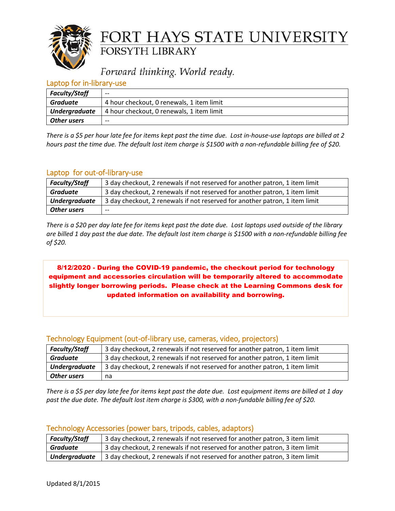

## FORT HAYS STATE UNIVERSITY FORSYTH LIBRARY

## Forward thinking. World ready.

### Laptop for in-library-use

| <b>Faculty/Staff</b> | $- -$                                     |
|----------------------|-------------------------------------------|
| Graduate             | 4 hour checkout, 0 renewals, 1 item limit |
| <b>Undergraduate</b> | 4 hour checkout, 0 renewals, 1 item limit |
| Other users          | $- -$                                     |

*There is a \$5 per hour late fee for items kept past the time due. Lost in-house-use laptops are billed at 2 hours past the time due. The default lost item charge is \$1500 with a non-refundable billing fee of \$20.*

### Laptop for out-of-library-use

| <b>Faculty/Staff</b> | 3 day checkout, 2 renewals if not reserved for another patron, 1 item limit |
|----------------------|-----------------------------------------------------------------------------|
| <b>Graduate</b>      | 3 day checkout, 2 renewals if not reserved for another patron, 1 item limit |
| <b>Undergraduate</b> | 3 day checkout, 2 renewals if not reserved for another patron, 1 item limit |
| <b>Other users</b>   | $- -$                                                                       |

*There is a \$20 per day late fee for items kept past the date due. Lost laptops used outside of the library are billed 1 day past the due date. The default lost item charge is \$1500 with a non-refundable billing fee of \$20.*

8/12/2020 - During the COVID-19 pandemic, the checkout period for technology equipment and accessories circulation will be temporarily altered to accommodate slightly longer borrowing periods. Please check at the Learning Commons desk for updated information on availability and borrowing.

### Technology Equipment (out-of-library use, cameras, video, projectors)

| <b>Faculty/Staff</b> | 3 day checkout, 2 renewals if not reserved for another patron, 1 item limit |
|----------------------|-----------------------------------------------------------------------------|
| Graduate             | 3 day checkout, 2 renewals if not reserved for another patron, 1 item limit |
| <b>Undergraduate</b> | 3 day checkout, 2 renewals if not reserved for another patron, 1 item limit |
| <b>Other users</b>   | na                                                                          |

*There is a \$5 per day late fee for items kept past the date due. Lost equipment items are billed at 1 day past the due date. The default lost item charge is \$300, with a non-fundable billing fee of \$20.*

| <b>Faculty/Staff</b> | <sup>1</sup> 3 day checkout, 2 renewals if not reserved for another patron, 3 item limit |
|----------------------|------------------------------------------------------------------------------------------|
| <b>Graduate</b>      | 3 day checkout, 2 renewals if not reserved for another patron, 3 item limit              |
| <b>Undergraduate</b> | 3 day checkout, 2 renewals if not reserved for another patron, 3 item limit              |

### Technology Accessories (power bars, tripods, cables, adaptors)